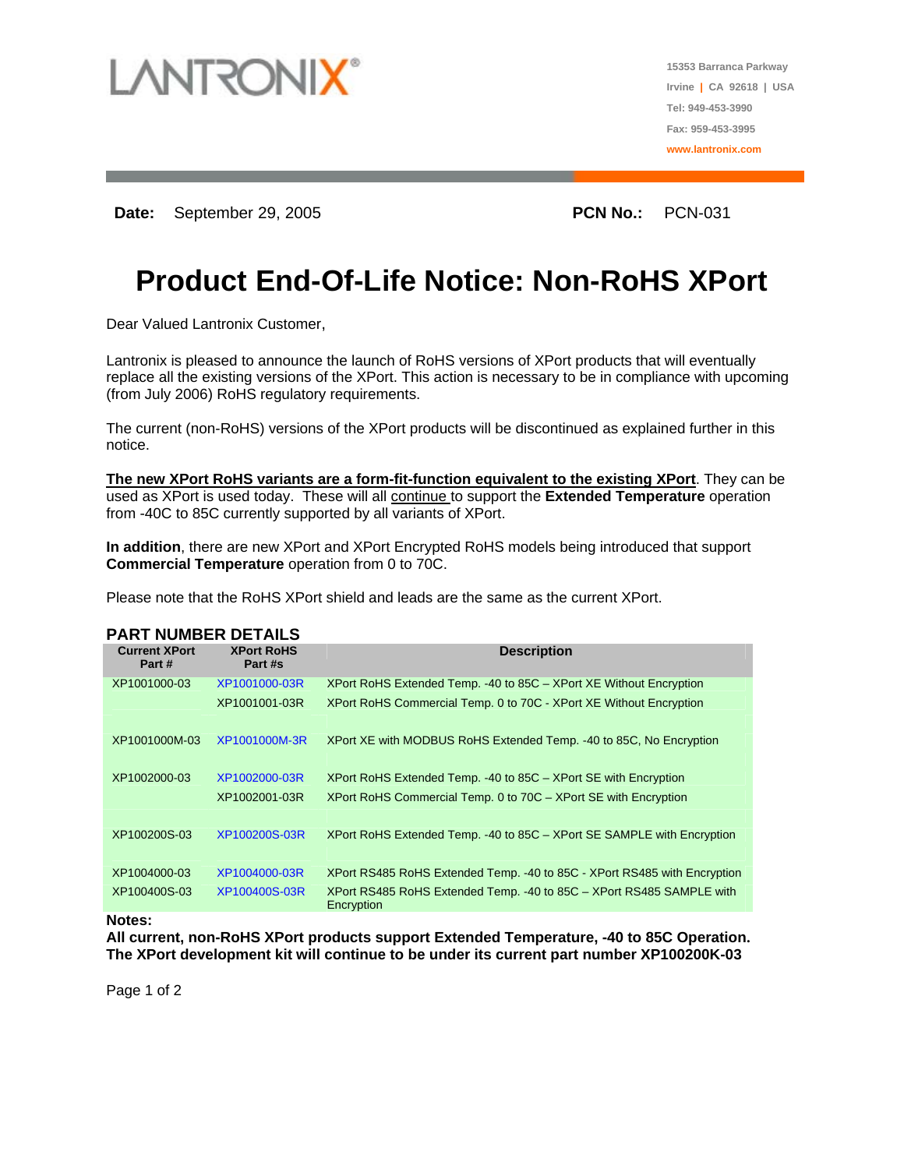

**15353 Barranca Parkway Irvine | CA 92618 | USA Tel: 949-453-3990 Fax: 959-453-3995 www.lantronix.com**

**Date:** September 29, 2005 **PCN No.:** PCN-031

# **Product End-Of-Life Notice: Non-RoHS XPort**

Dear Valued Lantronix Customer,

Lantronix is pleased to announce the launch of RoHS versions of XPort products that will eventually replace all the existing versions of the XPort. This action is necessary to be in compliance with upcoming (from July 2006) RoHS regulatory requirements.

The current (non-RoHS) versions of the XPort products will be discontinued as explained further in this notice.

**The new XPort RoHS variants are a form-fit-function equivalent to the existing XPort**. They can be used as XPort is used today. These will all continue to support the **Extended Temperature** operation from -40C to 85C currently supported by all variants of XPort.

**In addition**, there are new XPort and XPort Encrypted RoHS models being introduced that support **Commercial Temperature** operation from 0 to 70C.

Please note that the RoHS XPort shield and leads are the same as the current XPort.

| <b>PART NUMBER DETAILS</b>     |                              |                                                                                     |
|--------------------------------|------------------------------|-------------------------------------------------------------------------------------|
| <b>Current XPort</b><br>Part # | <b>XPort RoHS</b><br>Part #s | <b>Description</b>                                                                  |
| XP1001000-03                   | XP1001000-03R                | XPort RoHS Extended Temp. -40 to 85C - XPort XE Without Encryption                  |
|                                | XP1001001-03R                | XPort RoHS Commercial Temp. 0 to 70C - XPort XE Without Encryption                  |
| XP1001000M-03                  | XP1001000M-3R                | XPort XE with MODBUS RoHS Extended Temp. -40 to 85C, No Encryption                  |
|                                |                              |                                                                                     |
| XP1002000-03                   | XP1002000-03R                | XPort RoHS Extended Temp. -40 to 85C – XPort SE with Encryption                     |
|                                | XP1002001-03R                | XPort RoHS Commercial Temp. 0 to 70C - XPort SE with Encryption                     |
| XP100200S-03                   | XP100200S-03R                | XPort RoHS Extended Temp. -40 to 85C – XPort SE SAMPLE with Encryption              |
|                                |                              |                                                                                     |
| XP1004000-03                   | XP1004000-03R                | XPort RS485 RoHS Extended Temp. - 40 to 85C - XPort RS485 with Encryption           |
| XP100400S-03                   | XP100400S-03R                | XPort RS485 RoHS Extended Temp. - 40 to 85C - XPort RS485 SAMPLE with<br>Encryption |
|                                |                              |                                                                                     |

#### **Notes:**

**All current, non-RoHS XPort products support Extended Temperature, -40 to 85C Operation. The XPort development kit will continue to be under its current part number XP100200K-03**

Page 1 of 2